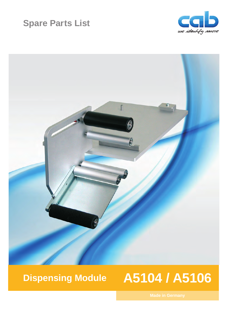## **Spare Parts List**





# **Dispensing Module A5104 / A5106**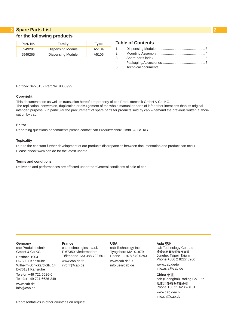#### **2 2 Spare Parts List for the following products**

| Part.-Nr. | Family                   | <b>Type</b> |
|-----------|--------------------------|-------------|
| 5949281   | <b>Dispensing Module</b> | A5104       |
| 5949265   | <b>Dispensing Module</b> | A5106       |

### **Table of Contents**

| $1 \quad \Box$ |  |
|----------------|--|
| $\mathbf{2}$   |  |
| 3              |  |
| 4              |  |
| 5              |  |
|                |  |

**Edition:** 04/2015 - Part No. 9008999

#### **Copyright**

This documentation as well as translation hereof are property of cab Produkttechnik GmbH & Co. KG. The replication, conversion, duplication or divulgement of the whole manual or parts of it for other intentions than its original intended purpose - in particular the procurement of spare parts for products sold by cab – demand the previous written authorisation by cab.

#### **Editor**

Regarding questions or comments please contact cab Produkttechnik GmbH & Co. KG.

#### **Topicality**

Due to the constant further development of our products discrepancies between documentation and product can occur. Please check www.cab.de for the latest update.

#### **Terms and conditions**

Deliveries and performances are effected under the "General conditions of sale of cab

#### **Germany**

cab Produkttechnik GmbH & Co KG Postfach 1904 D-76007 Karlsruhe Wilhelm-Schickard-Str. 14 D-76131 Karlsruhe Telefon +49 721 6626-0 Telefax +49 721 6626-249 www.cab.de info@cab.de

#### **France**

cab technologies s.a.r.l. F-67350 Niedermodern Téléphone +33 388 722 501 www.cab.de/fr info.fr@cab.de

#### **USA**

cab Technology Inc. Tyngsboro MA, 01879 Phone +1 978 649 0293 www.cab.de/us info.us@cab.de

#### **Asia**

cab Technology Co., Ltd.<br>希爱比科技股份有限公司 Junghe, Taipei, Taiwan Phone +886 2 8227 3966

www.cab.de/tw info.asia@cab.de

**China**  cab (Shanghai)Trading Co., Ltd. 铠博(上海)贸易有限公司 Phone +86 21 6236-3161 www.cab.de/cn

info.cn@cab.de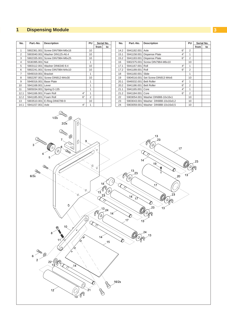## <span id="page-2-0"></span>**2 1 Dispensing Module 3**

| Part.-No.<br><b>Description</b><br>No. |                                                    |                                                                                                                                                                                                                                             |                |                                                                                                                     | Serial No.                               | No.                           | Part.-No.                                                                  | <b>Description</b>                                                                                | PU              |      | Serial No. |
|----------------------------------------|----------------------------------------------------|---------------------------------------------------------------------------------------------------------------------------------------------------------------------------------------------------------------------------------------------|----------------|---------------------------------------------------------------------------------------------------------------------|------------------------------------------|-------------------------------|----------------------------------------------------------------------------|---------------------------------------------------------------------------------------------------|-----------------|------|------------|
|                                        |                                                    |                                                                                                                                                                                                                                             |                | from                                                                                                                | to                                       |                               |                                                                            |                                                                                                   |                 | from | to         |
| $\mathbf{1}$                           |                                                    | 5902361.001 Screw DIN7984-M6x16                                                                                                                                                                                                             | 10             |                                                                                                                     |                                          | 14.2                          | 5941182.001 Axle                                                           | 6"                                                                                                | $\overline{2}$  |      |            |
| $\overline{2}$                         |                                                    | 5903040.001 Washer DIN125-A6.4                                                                                                                                                                                                              | 10             |                                                                                                                     |                                          | 15.1                          |                                                                            | $4"$<br>5941158.001 Dispense Plate                                                                | $\mathbf{1}$    |      |            |
| 3                                      |                                                    | 5902335.001 Screw DIN7984-M6x25                                                                                                                                                                                                             | $10$           |                                                                                                                     |                                          | 15.2                          |                                                                            | 6"<br>5941183.001 Dispense Plate                                                                  | $\sqrt{2}$      |      |            |
| $\overline{4}$                         | 5530395.001 Nut                                    |                                                                                                                                                                                                                                             | $\mathbf{1}$   |                                                                                                                     |                                          | 16                            |                                                                            | 5902375.001 Screw DIN7984-M6x10                                                                   | $10$            |      |            |
| 5                                      |                                                    | 5903112.001 Washer DIN6340 8.4                                                                                                                                                                                                              | 10             |                                                                                                                     |                                          | 17.1                          | 5941167.001 Roll                                                           | 4"                                                                                                | $\mathbf{1}$    |      |            |
| 6                                      |                                                    | 5902241.001 Screw DIN7984-M4x10                                                                                                                                                                                                             | $10$           |                                                                                                                     |                                          | 17.2                          | 5941189.001 Roll                                                           | $6"$                                                                                              | $\sqrt{2}$      |      |            |
| $\overline{7}$                         | 5949319.001 Bracket                                |                                                                                                                                                                                                                                             | $\mathbf{1}$   |                                                                                                                     |                                          | 18                            | 5941160.001 Slide                                                          |                                                                                                   | $\mathbf{1}$    |      |            |
| 8                                      |                                                    | 5902297.001 Screw DIN912-M4x30                                                                                                                                                                                                              | 10             |                                                                                                                     |                                          | 19                            |                                                                            | 5904516.001 Set Screw DIN913 M4x6                                                                 | $10$            |      |            |
| $\boldsymbol{9}$                       | 5949316.001 Base Plate                             |                                                                                                                                                                                                                                             | $\mathbf{1}$   |                                                                                                                     |                                          | 20.1                          | 5949332.001 Belt Roller                                                    | 4"                                                                                                | $\mathbf{1}$    |      |            |
| 10                                     | 5941168.001 Lever                                  |                                                                                                                                                                                                                                             | $\mathbf{1}$   |                                                                                                                     |                                          | 20.2                          | 5941186.001 Belt Roller                                                    | 6"                                                                                                | $\overline{2}$  |      |            |
| 11                                     |                                                    | 5905034.001 Spring D-135                                                                                                                                                                                                                    | $\mathbf{1}$   |                                                                                                                     |                                          | 21.1                          | 5941165.001 Core                                                           | 4"                                                                                                | $\mathbf{1}$    |      |            |
| 12.1                                   | 5941166.001 Foam Roll                              | $4"$                                                                                                                                                                                                                                        | $\mathbf{1}$   |                                                                                                                     |                                          | 21.2                          | 5941184.001 Core                                                           | $6"$                                                                                              | $\overline{2}$  |      |            |
| 12.2                                   | 5941185.001 Foam Roll                              | 6"                                                                                                                                                                                                                                          | $\overline{2}$ |                                                                                                                     |                                          | 22                            |                                                                            | 5903054.001 Washer DIN988-10x16x1                                                                 | 10              |      |            |
| 13                                     |                                                    | 5903510.001 E-Ring DIN6799-9                                                                                                                                                                                                                | 10             |                                                                                                                     |                                          | 23                            |                                                                            | 5903043.001 Washer DIN988-10x16x0,2                                                               | 10              |      |            |
| 14.1                                   | 5941157.001 Axle                                   | 4"                                                                                                                                                                                                                                          | $\mathbf{1}$   |                                                                                                                     |                                          | 24                            |                                                                            | 5903059.001 Washer DIN988-10x16x0,5                                                               | 10              |      |            |
|                                        | 3<br><b>Couran</b><br>6/2x<br><b>Com</b><br>6<br>2 | 1/2x<br>0<br>2/2x<br><b>RACCO</b><br>Q<br>9<br>$\theta$<br>D<br>$\bigoplus$<br>6<br>Q,<br><b>College</b><br>5<br><b>College</b><br>$\Diamond$<br>Q<br>10<br>$\pmb{o}$<br>8<br>∕⊗<br>11<br>⊗<br>$\mathcal{Q}$<br>22 <sup>°</sup><br>14<br>12 | ≫              | $\mathord{<}_{\!\!{\mathfrak{O}}}$<br>€<br>1 $\widetilde{3}$<br>$\mathscr{C}_{\mathscr{A}}$<br>Q<br>14 <sup>′</sup> | 18 <sup>2</sup><br>23<br>$13_{24}$<br>15 | C<br>$14^\circ$<br>C<br>16/2x | 14 <sup>′</sup><br>13<br>23<br>2<br>'Q<br>$\frac{14}{3}$<br>17<br>17<br>13 | 13<br>23<br>Θ<br>17<br>19<br>Q<br>20<br>17<br>23<br>$\mathcal{O}$<br>23<br>13<br>O)<br>$\alpha$ . | 13 <sup>′</sup> | 23   |            |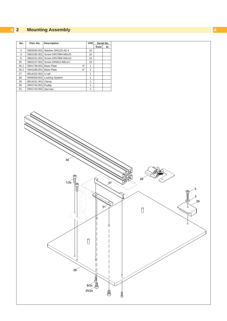#### <span id="page-3-0"></span> **Mounting Assembly**

| No.            | Part.-No.            | <b>Description</b>    | <b>VPE</b> |                | Serial No. |    |
|----------------|----------------------|-----------------------|------------|----------------|------------|----|
|                |                      |                       |            |                | from       | to |
| $\overline{2}$ | 5903040.001          | Washer DIN125-A6.4    |            | 10             |            |    |
| 3              | 5902335.001          | Screw DIN7984-M6x25   |            | 10             |            |    |
| 6              | 5902241.001          | Screw DIN7984-M4x10   |            | 10             |            |    |
| 25             | 5902137.001          | Screw DIN912-M6x12    |            | 10             |            |    |
| 26.1           | 5941738.001          | <b>Base Plate</b>     | 4"         | 1              |            |    |
| 26.2           | 5941188.001          | <b>Base Plate</b>     | 6"         | $\overline{2}$ |            |    |
| 27             | 8914152.001 U-rail   |                       |            | 1              |            |    |
| 28             | 5949328.001          | <b>Locking System</b> |            |                |            |    |
| 29             | 8914151.001          | Clamp                 |            | 1              |            |    |
| 30             | 5941742.001          | Profile               |            | 1              |            |    |
| 31             | 5941743.001 Slot Nut |                       |            |                |            |    |